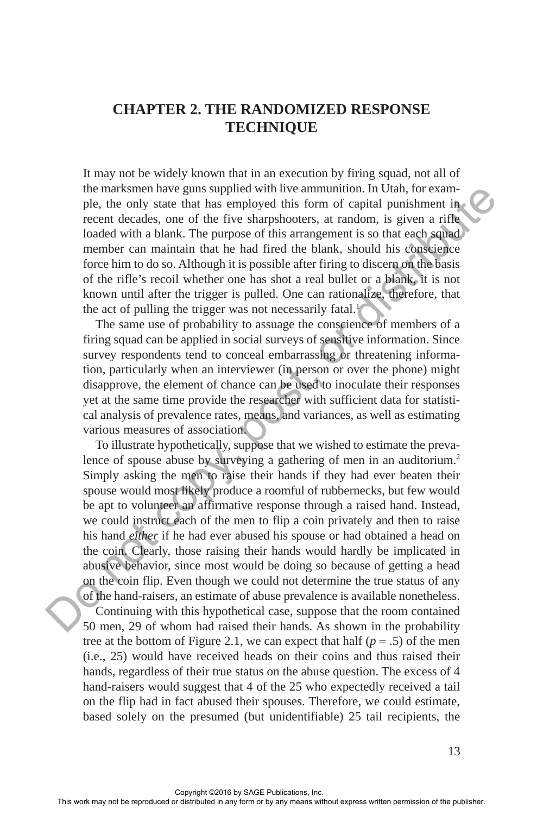# **CHAPTER 2. THE RANDOMIZED RESPONSE TECHNIQUE**

It may not be widely known that in an execution by firing squad, not all of the marksmen have guns supplied with live ammunition. In Utah, for example, the only state that has employed this form of capital punishment in recent decades, one of the five sharpshooters, at random, is given a rifle loaded with a blank. The purpose of this arrangement is so that each squad member can maintain that he had fired the blank, should his conscience force him to do so. Although it is possible after firing to discern on the basis of the rifle's recoil whether one has shot a real bullet or a blank, it is not known until after the trigger is pulled. One can rationalize, therefore, that the act of pulling the trigger was not necessarily fatal.<sup>1</sup>

The same use of probability to assuage the conscience of members of a firing squad can be applied in social surveys of sensitive information. Since survey respondents tend to conceal embarrassing or threatening information, particularly when an interviewer (in person or over the phone) might disapprove, the element of chance can be used to inoculate their responses yet at the same time provide the researcher with sufficient data for statistical analysis of prevalence rates, means, and variances, as well as estimating various measures of association.

To illustrate hypothetically, suppose that we wished to estimate the prevalence of spouse abuse by surveying a gathering of men in an auditorium.<sup>2</sup> Simply asking the men to raise their hands if they had ever beaten their spouse would most likely produce a roomful of rubbernecks, but few would be apt to volunteer an affirmative response through a raised hand. Instead, we could instruct each of the men to flip a coin privately and then to raise his hand *either* if he had ever abused his spouse or had obtained a head on the coin. Clearly, those raising their hands would hardly be implicated in abusive behavior, since most would be doing so because of getting a head on the coin flip. Even though we could not determine the true status of any of the hand-raisers, an estimate of abuse prevalence is available nonetheless. Continuing with this hypothetical case, suppose that the room contained 50 men, 29 of whom had raised their hands. As shown in the probability tree at the bottom of Figure 2.1, we can expect that half ( $p = .5$ ) of the men (i.e., 25) would have received heads on their coins and thus raised their hands, regardless of their true status on the abuse question. The excess of 4 hand-raisers would suggest that 4 of the 25 who expectedly received a tail on the flip had in fact abused their spouses. Therefore, we could estimate, based solely on the presumed (but unidentifiable) 25 tail recipients, the the maximal nature games supplied with live annuaturation. In Ucan, for eaching the reproduced in a still considered traceled conditions that the high frequency at random, is given a rifle and the publishered in the high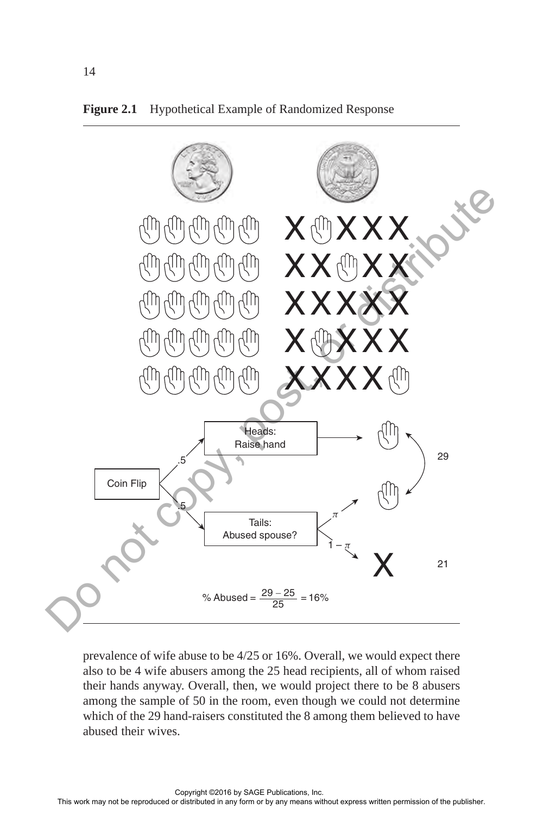



prevalence of wife abuse to be 4/25 or 16%. Overall, we would expect there also to be 4 wife abusers among the 25 head recipients, all of whom raised their hands anyway. Overall, then, we would project there to be 8 abusers among the sample of 50 in the room, even though we could not determine which of the 29 hand-raisers constituted the 8 among them believed to have abused their wives.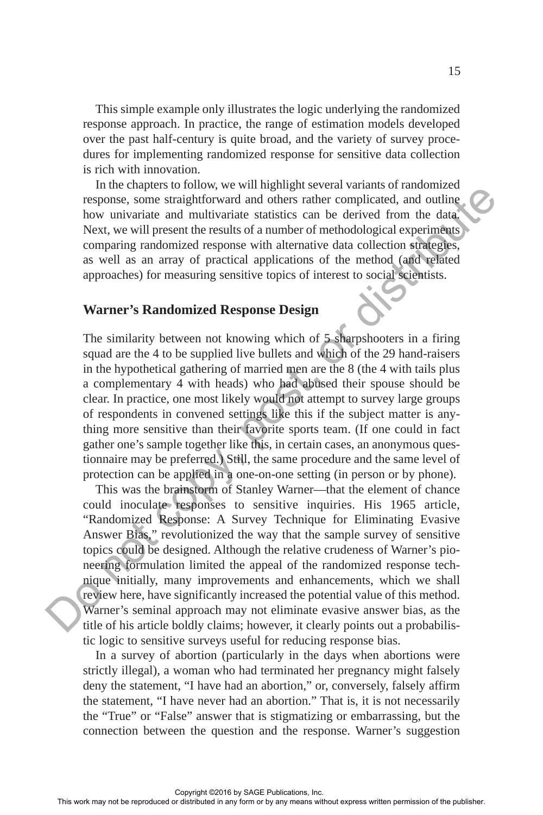This simple example only illustrates the logic underlying the randomized response approach. In practice, the range of estimation models developed over the past half-century is quite broad, and the variety of survey procedures for implementing randomized response for sensitive data collection is rich with innovation.

In the chapters to follow, we will highlight several variants of randomized response, some straightforward and others rather complicated, and outline how univariate and multivariate statistics can be derived from the data. Next, we will present the results of a number of methodological experiments comparing randomized response with alternative data collection strategies, as well as an array of practical applications of the method (and related approaches) for measuring sensitive topics of interest to social scientists.

## **Warner's Randomized Response Design**

The similarity between not knowing which of 5 sharpshooters in a firing squad are the 4 to be supplied live bullets and which of the 29 hand-raisers in the hypothetical gathering of married men are the 8 (the 4 with tails plus a complementary 4 with heads) who had abused their spouse should be clear. In practice, one most likely would not attempt to survey large groups of respondents in convened settings like this if the subject matter is anything more sensitive than their favorite sports team. (If one could in fact gather one's sample together like this, in certain cases, an anonymous questionnaire may be preferred.) Still, the same procedure and the same level of protection can be applied in a one-on-one setting (in person or by phone).

This was the brainstorm of Stanley Warner—that the element of chance could inoculate responses to sensitive inquiries. His 1965 article, "Randomized Response: A Survey Technique for Eliminating Evasive Answer Bias," revolutionized the way that the sample survey of sensitive topics could be designed. Although the relative crudeness of Warner's pioneering formulation limited the appeal of the randomized response technique initially, many improvements and enhancements, which we shall review here, have significantly increased the potential value of this method. Warner's seminal approach may not eliminate evasive answer bias, as the title of his article boldly claims; however, it clearly points out a probabilistic logic to sensitive surveys useful for reducing response bias. This was the brainstonial controllicate and motival controllicate can be represented from the time of the publisher completed in any motivarized in any motivarized in a motivarized capporation of the method (angle express

In a survey of abortion (particularly in the days when abortions were strictly illegal), a woman who had terminated her pregnancy might falsely deny the statement, "I have had an abortion," or, conversely, falsely affirm the statement, "I have never had an abortion." That is, it is not necessarily the "True" or "False" answer that is stigmatizing or embarrassing, but the connection between the question and the response. Warner's suggestion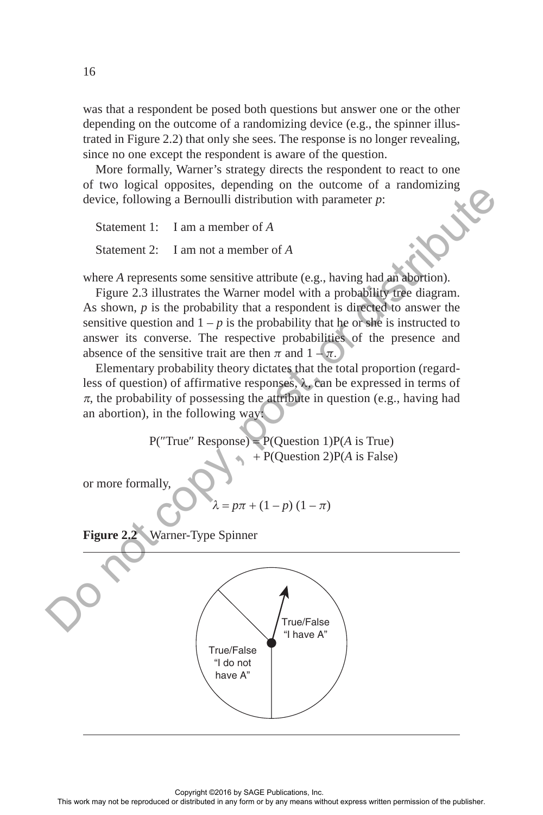was that a respondent be posed both questions but answer one or the other depending on the outcome of a randomizing device (e.g., the spinner illustrated in Figure 2.2) that only she sees. The response is no longer revealing, since no one except the respondent is aware of the question.

More formally, Warner's strategy directs the respondent to react to one of two logical opposites, depending on the outcome of a randomizing device, following a Bernoulli distribution with parameter *p*:

Statement 1: I am a member of *A*

Statement 2: I am not a member of *A*

where *A* represents some sensitive attribute (e.g., having had an abortion).

Figure 2.3 illustrates the Warner model with a probability tree diagram. As shown, *p* is the probability that a respondent is directed to answer the sensitive question and  $1 - p$  is the probability that he or she is instructed to answer its converse. The respective probabilities of the presence and absence of the sensitive trait are then  $\pi$  and  $1 - \pi$ .

Elementary probability theory dictates that the total proportion (regardless of question) of affirmative responses, λ, can be expressed in terms of  $\pi$ , the probability of possessing the attribute in question (e.g., having had an abortion), in the following way:

> P( $True$  Response) = P(Question 1)P( $\hat{A}$  is True) + P(Question 2)P(*A* is False)

or more formally,

$$
\lambda = p\pi + (1 - p)(1 - \pi)
$$



16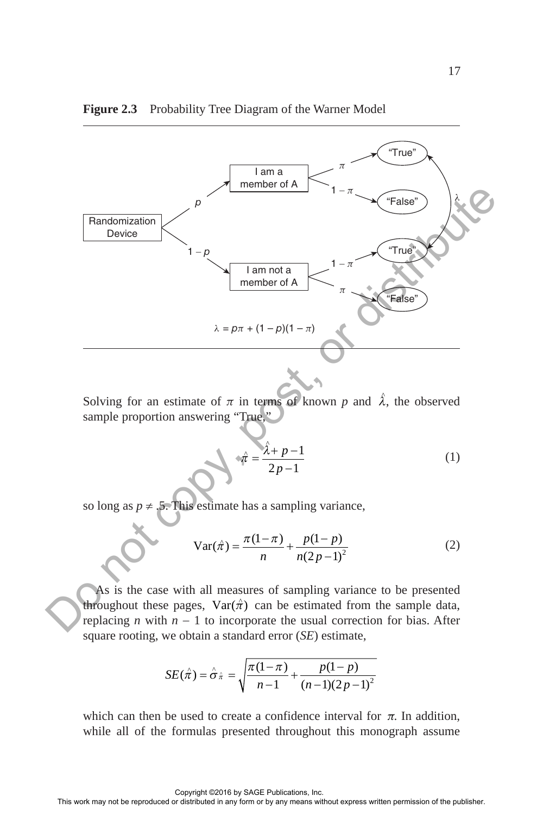

#### Figure 2.3 Probability Tree Diagram of the Warner Model

Solving for an estimate of  $\pi$  in terms of known  $p$  and  $\hat{\lambda}$ , the observed sample proportion answering "True,"

$$
\hat{\pi} = \frac{\hat{\lambda} + p - 1}{2p - 1} \tag{1}
$$

so long as  $p \neq 0.5$ . This estimate has a sampling variance,

$$
Var(\hat{\pi}) = \frac{\pi(1-\pi)}{n} + \frac{p(1-p)}{n(2p-1)^2}
$$
 (2)

As is the case with all measures of sampling variance to be presented throughout these pages,  $\text{Var}(\hat{\pi})$  can be estimated from the sample data, replacing *n* with  $n - 1$  to incorporate the usual correction for bias. After square rooting, we obtain a standard error (*SE*) estimate,

$$
SE(\hat{\pi}) = \hat{\sigma}_{\hat{\pi}} = \sqrt{\frac{\pi(1-\pi)}{n-1} + \frac{p(1-p)}{(n-1)(2p-1)^2}}
$$

which can then be used to create a confidence interval for  $\pi$ . In addition, while all of the formulas presented throughout this monograph assume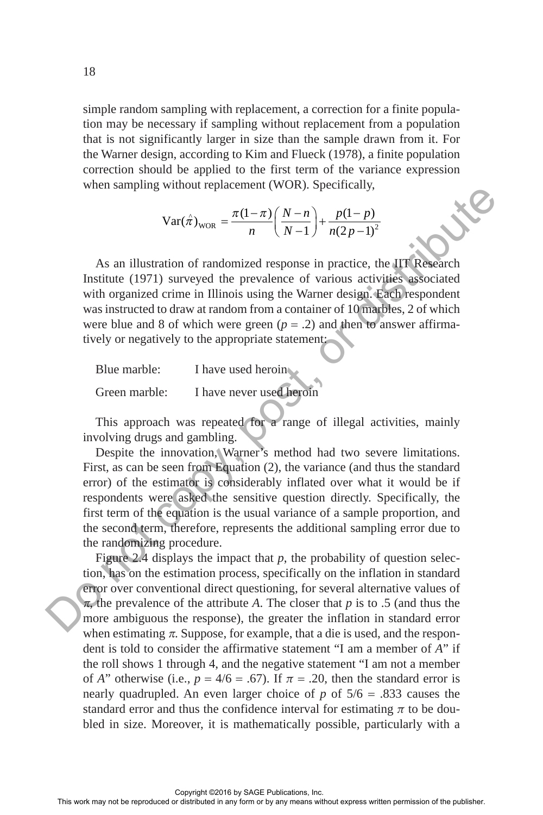simple random sampling with replacement, a correction for a finite population may be necessary if sampling without replacement from a population that is not significantly larger in size than the sample drawn from it. For the Warner design, according to Kim and Flueck (1978), a finite population correction should be applied to the first term of the variance expression when sampling without replacement (WOR). Specifically,

$$
Var(\hat{\pi})_{WOR} = \frac{\pi(1-\pi)}{n} \left( \frac{N-n}{N-1} \right) + \frac{p(1-p)}{n(2p-1)^2}
$$

As an illustration of randomized response in practice, the IIT Research Institute (1971) surveyed the prevalence of various activities associated with organized crime in Illinois using the Warner design. Each respondent was instructed to draw at random from a container of 10 marbles, 2 of which were blue and 8 of which were green  $(p = .2)$  and then to answer affirmatively or negatively to the appropriate statement:

| Blue marble:  | I have used heroin       |
|---------------|--------------------------|
| Green marble: | I have never used heroin |

This approach was repeated for a range of illegal activities, mainly involving drugs and gambling.

Despite the innovation, Warner's method had two severe limitations. First, as can be seen from Equation (2), the variance (and thus the standard error) of the estimator is considerably inflated over what it would be if respondents were asked the sensitive question directly. Specifically, the first term of the equation is the usual variance of a sample proportion, and the second term, therefore, represents the additional sampling error due to the randomizing procedure.

Figure 2.4 displays the impact that *p*, the probability of question selection, has on the estimation process, specifically on the inflation in standard error over conventional direct questioning, for several alternative values of <sup>π</sup>, the prevalence of the attribute *A*. The closer that *p* is to .5 (and thus the more ambiguous the response), the greater the inflation in standard error when estimating  $\pi$ . Suppose, for example, that a die is used, and the respondent is told to consider the affirmative statement "I am a member of *A*" if the roll shows 1 through 4, and the negative statement "I am not a member of *A*" otherwise (i.e.,  $p = 4/6 = .67$ ). If  $\pi = .20$ , then the standard error is nearly quadrupled. An even larger choice of *p* of 5/6 = .833 causes the standard error and thus the confidence interval for estimating  $\pi$  to be doubled in size. Moreover, it is mathematically possible, particularly with a when standing when it episodens in produces in produced in the publisher of the publisher or distribution of randomized response in practice, the **LIF (Research** Instituted 1091) surveyed the prevalence of various accupie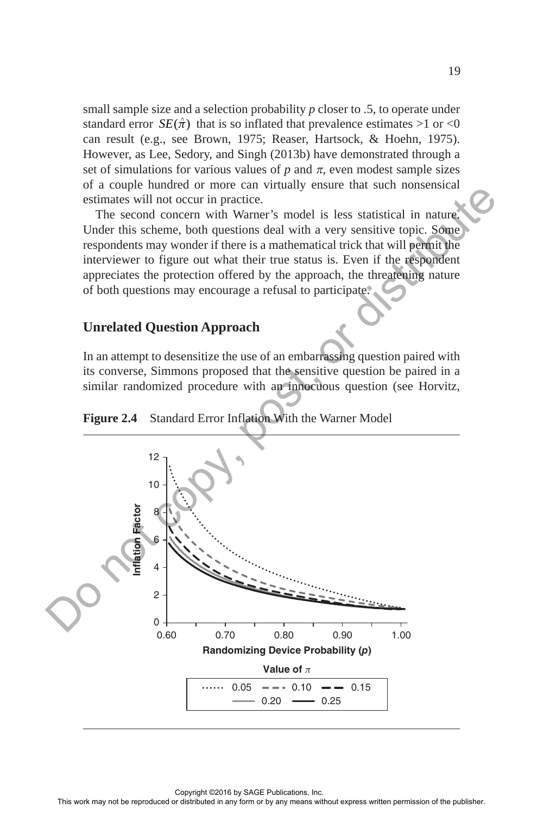small sample size and a selection probability *p* closer to .5, to operate under standard error  $SE(\hat{\pi})$  that is so inflated that prevalence estimates >1 or <0 can result (e.g., see Brown, 1975; Reaser, Hartsock, & Hoehn, 1975). However, as Lee, Sedory, and Singh (2013b) have demonstrated through a set of simulations for various values of  $p$  and  $\pi$ , even modest sample sizes of a couple hundred or more can virtually ensure that such nonsensical estimates will not occur in practice.

The second concern with Warner's model is less statistical in nature. Under this scheme, both questions deal with a very sensitive topic. Some respondents may wonder if there is a mathematical trick that will permit the interviewer to figure out what their true status is. Even if the respondent appreciates the protection offered by the approach, the threatening nature of both questions may encourage a refusal to participate.

### **Unrelated Question Approach**

In an attempt to desensitize the use of an embarrassing question paired with its converse, Simmons proposed that the sensitive question be paired in a similar randomized procedure with an innocuous question (see Horvitz,



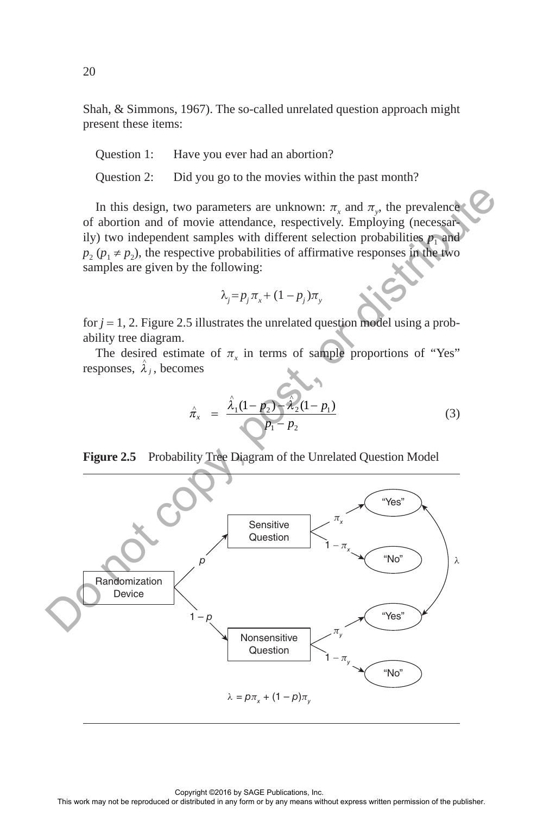Shah, & Simmons, 1967). The so-called unrelated question approach might present these items:

Question 1: Have you ever had an abortion?

Question 2: Did you go to the movies within the past month?

In this design, two parameters are unknown:  $\pi$ <sub>x</sub> and  $\pi$ <sub>y</sub>, the prevalence of abortion and of movie attendance, respectively. Employing (necessarily) two independent samples with different selection probabilities  $p_1$  and  $p_2$  ( $p_1 \neq p_2$ ), the respective probabilities of affirmative responses in the two samples are given by the following:

$$
\lambda_j = p_j \pi_x + (1 - p_j) \pi_y
$$

for  $j = 1, 2$ . Figure 2.5 illustrates the unrelated question model using a probability tree diagram.

The desired estimate of  $\pi$ <sub>x</sub> in terms of sample proportions of "Yes" responses,  $\hat{\lambda}_i$ , becomes

$$
\hat{\pi}_x = \frac{\hat{\lambda}_1 (1 - p_2) - \hat{\lambda}_2 (1 - p_1)}{p_1 - p_2} \tag{3}
$$



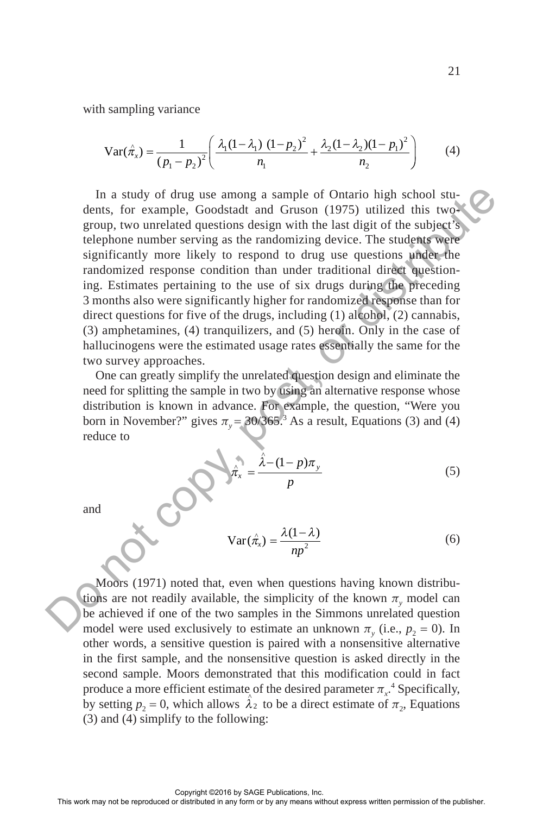with sampling variance

$$
\text{Var}(\hat{\pi}_x) = \frac{1}{\left(p_1 - p_2\right)^2} \left( \frac{\lambda_1 (1 - \lambda_1) (1 - p_2)^2}{n_1} + \frac{\lambda_2 (1 - \lambda_2) (1 - p_1)^2}{n_2} \right) \tag{4}
$$

In a study of drug use among a sample of Ontario high school students, for example, Goodstadt and Gruson (1975) utilized this twogroup, two unrelated questions design with the last digit of the subject's telephone number serving as the randomizing device. The students were significantly more likely to respond to drug use questions under the randomized response condition than under traditional direct questioning. Estimates pertaining to the use of six drugs during the preceding 3 months also were significantly higher for randomized response than for direct questions for five of the drugs, including (1) alcohol, (2) cannabis, (3) amphetamines, (4) tranquilizers, and (5) heroin. Only in the case of hallucinogens were the estimated usage rates essentially the same for the two survey approaches. In a study of due gues any as a sample of Ontario high school study<br>density and the reproduced or distributed or distributed distributed in a<br>significantly more likely to respond to drug use questions unique we<br>significan

One can greatly simplify the unrelated question design and eliminate the need for splitting the sample in two by using an alternative response whose distribution is known in advance. For example, the question, "Were you born in November?" gives  $\pi$ <sub>y</sub> = 30/365.<sup>3</sup> As a result, Equations (3) and (4) reduce to

$$
\hat{\pi}_x = \frac{\hat{\lambda} - (1 - p)\pi_y}{p}
$$
 (5)

and

$$
Var(\hat{\pi}_x) = \frac{\lambda(1-\lambda)}{np^2}
$$
 (6)

Moors (1971) noted that, even when questions having known distributions are not readily available, the simplicity of the known  $\pi$ <sub>y</sub> model can be achieved if one of the two samples in the Simmons unrelated question model were used exclusively to estimate an unknown  $\pi_y$  (i.e.,  $p_2 = 0$ ). In other words, a sensitive question is paired with a nonsensitive alternative in the first sample, and the nonsensitive question is asked directly in the second sample. Moors demonstrated that this modification could in fact produce a more efficient estimate of the desired parameter  $\pi_{x}$ <sup>4</sup>. Specifically, by setting  $p_2 = 0$ , which allows  $\hat{\lambda}_2$  to be a direct estimate of  $\pi_2$ , Equations (3) and (4) simplify to the following: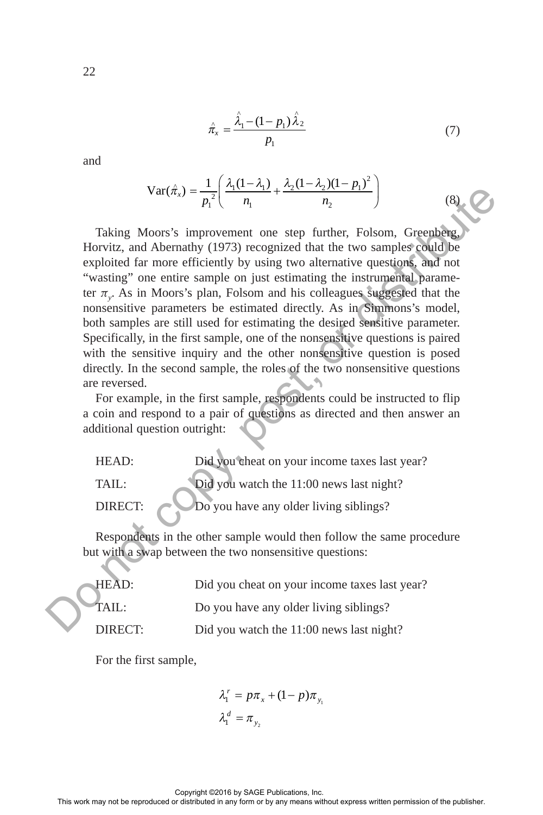$$
\hat{\pi}_x = \frac{\hat{\lambda}_1 - (1 - p_1)\hat{\lambda}_2}{p_1} \tag{7}
$$

and

$$
Var(\hat{\pi}_x) = \frac{1}{p_1^2} \left( \frac{\lambda_1 (1 - \lambda_1)}{n_1} + \frac{\lambda_2 (1 - \lambda_2)(1 - p_1)^2}{n_2} \right)
$$
(8)

Taking Moors's improvement one step further, Folsom, Greenberg, Horvitz, and Abernathy (1973) recognized that the two samples could be exploited far more efficiently by using two alternative questions, and not "wasting" one entire sample on just estimating the instrumental parameter π*<sup>y</sup>* . As in Moors's plan, Folsom and his colleagues suggested that the nonsensitive parameters be estimated directly. As in Simmons's model, both samples are still used for estimating the desired sensitive parameter. Specifically, in the first sample, one of the nonsensitive questions is paired with the sensitive inquiry and the other nonsensitive question is posed directly. In the second sample, the roles of the two nonsensitive questions are reversed. Var( $\vec{\pi}_i$ ) =  $\frac{1}{p_i}$  ( $\frac{1}{q_i}$  +  $\frac{1}{q_i}$  +  $\frac{1}{q_i}$  +  $\frac{1}{q_i}$  =  $\frac{1}{p_i}$ )<br>
Horvitz, and Adennative duces the reproduced that the two samples of that the vessingle and the expression of the publisher. Thi

For example, in the first sample, respondents could be instructed to flip a coin and respond to a pair of questions as directed and then answer an additional question outright:

HEAD: Did you cheat on your income taxes last year? TAIL: Did you watch the 11:00 news last night? DIRECT: Do you have any older living siblings?

Respondents in the other sample would then follow the same procedure but with a swap between the two nonsensitive questions:

HEAD: Did you cheat on your income taxes last year? TAIL: Do you have any older living siblings? DIRECT: Did you watch the 11:00 news last night?

For the first sample,

$$
\lambda_1^r = p\pi_x + (1 - p)\pi_{y_1} \n\lambda_1^d = \pi_{y_2}
$$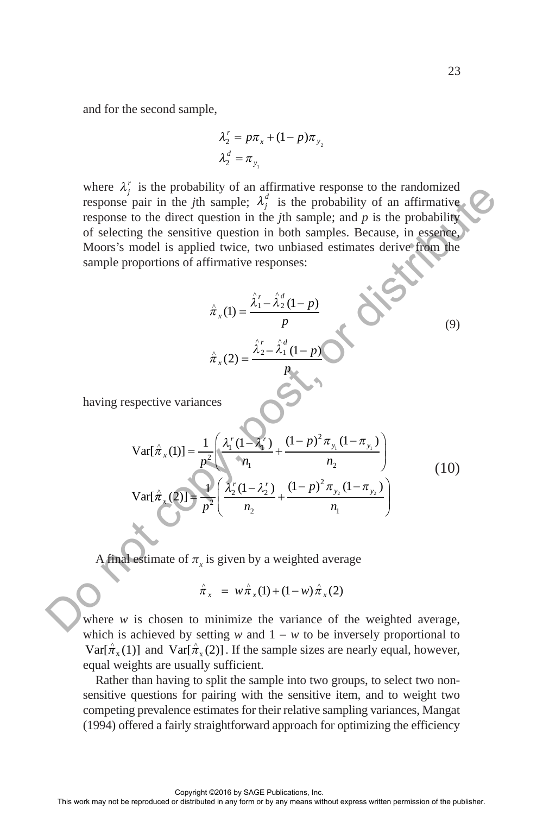and for the second sample,

$$
\lambda_2^r = p\pi_x + (1 - p)\pi_{y_2}
$$

$$
\lambda_2^d = \pi_{y_1}
$$

where  $\lambda_j^r$  is the probability of an affirmative response to the randomized response pair in the *j*th sample;  $\lambda_j^d$  is the probability of an affirmative response to the direct question in the *j*th sample; and *p* is the probability of selecting the sensitive question in both samples. Because, in essence, Moors's model is applied twice, two unbiased estimates derive from the sample proportions of affirmative responses:

$$
\hat{\pi}_x(1) = \frac{\hat{\lambda}_1^r - \hat{\lambda}_2^d (1-p)}{p}
$$
  

$$
\hat{\pi}_x(2) = \frac{\hat{\lambda}_2^r - \hat{\lambda}_1^d (1-p)}{p}
$$

having respective variances

where 
$$
\alpha_j
$$
 is the probability of an armmarive response to the randomized  
response pair in the *j*th sample;  $\lambda_j^d$  is the probability of an armariv-  
response to the direct question in both samples. Because, in escape,  
Moors's model is applied twice, two unbiased estimates derive from the  
sample proportions of affirmative responses:  

$$
\hat{\pi}_x(1) = \frac{\hat{\lambda}_1' - \hat{\lambda}_2^d(1-p)}{p}
$$
(9)  

$$
\hat{\pi}_x(2) = \frac{\hat{\lambda}_2' - \hat{\lambda}_1^d(1-p)}{p}
$$
(9)  
having respective variances  

$$
\nabla \text{arf}(\hat{\pi}_x(1)) = \frac{1}{p^2} \left( \frac{\lambda'_1(1-\lambda'_1)}{\eta_1} + \frac{(1-p)^2 \pi_{y_1}(1-\pi_{y_1})}{\eta_2} \right)
$$
(10)  

$$
\nabla \text{arf}(\hat{\pi}_x(2)) = \frac{1}{p^2} \left( \frac{\lambda'_1(1-\lambda'_2)}{\eta_1} + \frac{(1-p)^2 \pi_{y_1}(1-\pi_{y_1})}{\eta_1} \right)
$$
(10)  

$$
\nabla \text{arf}(\hat{\pi}_x(2)) = \frac{1}{p^2} \left( \frac{\lambda'_2(1-\lambda'_2)}{\eta_2} + \frac{(1-p)^2 \pi_{y_2}(1-\pi_{y_2})}{\eta_1} \right)
$$
(10)  

$$
\nabla \text{arf}(\hat{\pi}_x(1)) = \frac{1}{p^2} \left( \frac{\lambda'_2(1-\lambda'_2)}{\eta_2} + \frac{(1-p)^2 \pi_{y_2}(1-\pi_{y_2})}{\eta_1} \right)
$$
(11)  
As *f*  $\hat{\pi}_x = w \hat{\pi}_x(1) + (1-w) \hat{\pi}_x(2)$   
where *w* is chosen to minimize the variance of the weighted average,  
which is achieved by setting *w* and  $1 - w$  to be inversely proportional to  

$$
\nabla \text{arf}(\hat{\pi}_x(1))
$$
 and 
$$
\nabla \text{arf}(\hat{\pi}_x(2))
$$
. If the sample sizes are nearly equal, however,  
equal weight are usually sufficient.  
Radine values of *w*  $\hat{\pi}_x = w \hat{\pi}_x(1) + ($ 

A final estimate of  $\pi$ <sub>x</sub> is given by a weighted average

$$
\hat{\pi}_x = w \hat{\pi}_x(1) + (1 - w) \hat{\pi}_x(2)
$$

where  $w$  is chosen to minimize the variance of the weighted average, which is achieved by setting *w* and  $1 - w$  to be inversely proportional to  $Var[\hat{\pi}_x(1)]$  and  $Var[\hat{\pi}_x(2)]$ . If the sample sizes are nearly equal, however, equal weights are usually sufficient.

Rather than having to split the sample into two groups, to select two nonsensitive questions for pairing with the sensitive item, and to weight two competing prevalence estimates for their relative sampling variances, Mangat (1994) offered a fairly straightforward approach for optimizing the efficiency

(9)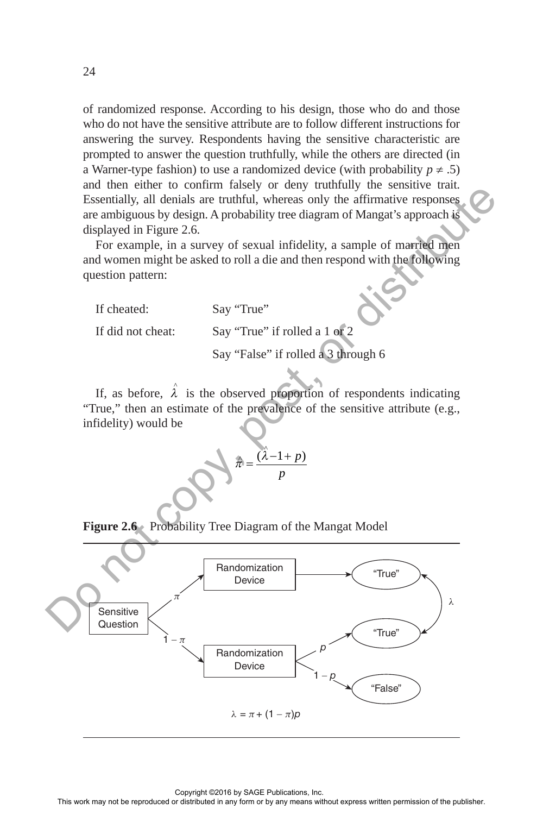of randomized response. According to his design, those who do and those who do not have the sensitive attribute are to follow different instructions for answering the survey. Respondents having the sensitive characteristic are prompted to answer the question truthfully, while the others are directed (in a Warner-type fashion) to use a randomized device (with probability  $p \neq .5$ ) and then either to confirm falsely or deny truthfully the sensitive trait. Essentially, all denials are truthful, whereas only the affirmative responses are ambiguous by design. A probability tree diagram of Mangat's approach is displayed in Figure 2.6.

For example, in a survey of sexual infidelity, a sample of married men and women might be asked to roll a die and then respond with the following question pattern:

If cheated: Say "True"

If did not cheat: Say "True" if rolled a 1 or 2

Say "False" if rolled a 3 through 6

If, as before,  $\hat{\lambda}$  is the observed proportion of respondents indicating "True," then an estimate of the prevalence of the sensitive attribute (e.g., infidelity) would be

$$
\hat{\pi} = \frac{(\hat{\lambda} - 1 + p)}{p}
$$

**Figure 2.6** Probability Tree Diagram of the Mangat Model

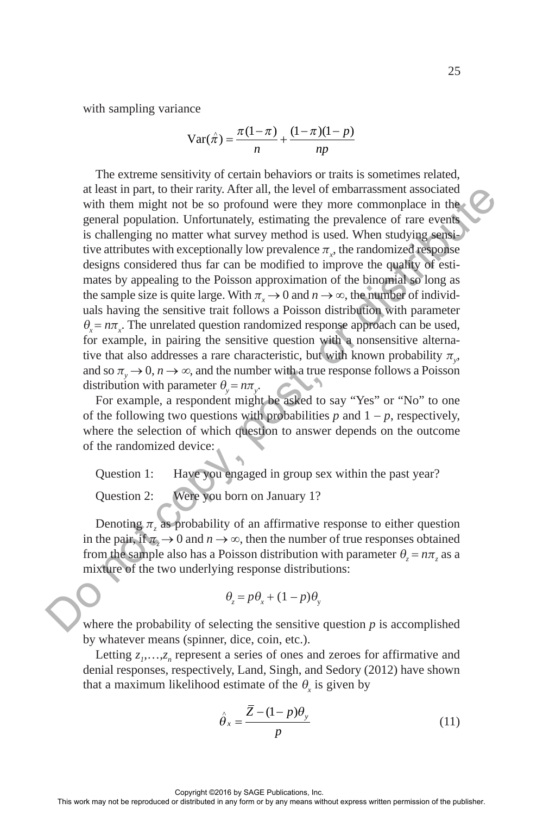with sampling variance

$$
\operatorname{Var}(\hat{\pi}) = \frac{\pi(1-\pi)}{n} + \frac{(1-\pi)(1-p)}{np}
$$

The extreme sensitivity of certain behaviors or traits is sometimes related, at least in part, to their rarity. After all, the level of embarrassment associated with them might not be so profound were they more commonplace in the general population. Unfortunately, estimating the prevalence of rare events is challenging no matter what survey method is used. When studying sensitive attributes with exceptionally low prevalence  $\pi_{\mathbf{x}}$ , the randomized response designs considered thus far can be modified to improve the quality of estimates by appealing to the Poisson approximation of the binomial so long as the sample size is quite large. With  $\pi_x \to 0$  and  $n \to \infty$ , the number of individuals having the sensitive trait follows a Poisson distribution with parameter  $\theta_x = n\pi_x$ . The unrelated question randomized response approach can be used, for example, in pairing the sensitive question with a nonsensitive alternative that also addresses a rare characteristic, but with known probability  $\pi_{y}$ , and so  $\pi$ <sub>y</sub>  $\rightarrow$  0,  $n \rightarrow \infty$ , and the number with a true response follows a Poisson distribution with parameter  $\theta_y = n\pi_y$ . at least in part, to their rangit, After all, the level of enhancement associated<br>speed in any form or the publisher and the publisher and response or the event<br>set in be published in this means population. Unformaring th

For example, a respondent might be asked to say "Yes" or "No" to one of the following two questions with probabilities  $p$  and  $1 - p$ , respectively, where the selection of which question to answer depends on the outcome of the randomized device:

Question 1: Have you engaged in group sex within the past year?

Question 2: Were you born on January 1?

Denoting  $\pi$ <sub>z</sub> as probability of an affirmative response to either question in the pair, if  $\pi \to 0$  and  $n \to \infty$ , then the number of true responses obtained from the sample also has a Poisson distribution with parameter  $\theta_z = n\pi_z$  as a mixture of the two underlying response distributions:

$$
\theta_z = p\theta_x + (1 - p)\theta_y
$$

where the probability of selecting the sensitive question  $p$  is accomplished by whatever means (spinner, dice, coin, etc.).

Letting  $z_1, \ldots, z_n$  represent a series of ones and zeroes for affirmative and denial responses, respectively, Land, Singh, and Sedory (2012) have shown that a maximum likelihood estimate of the  $\theta_x$  is given by

$$
\hat{\theta}_x = \frac{\overline{Z} - (1 - p)\theta_y}{p} \tag{11}
$$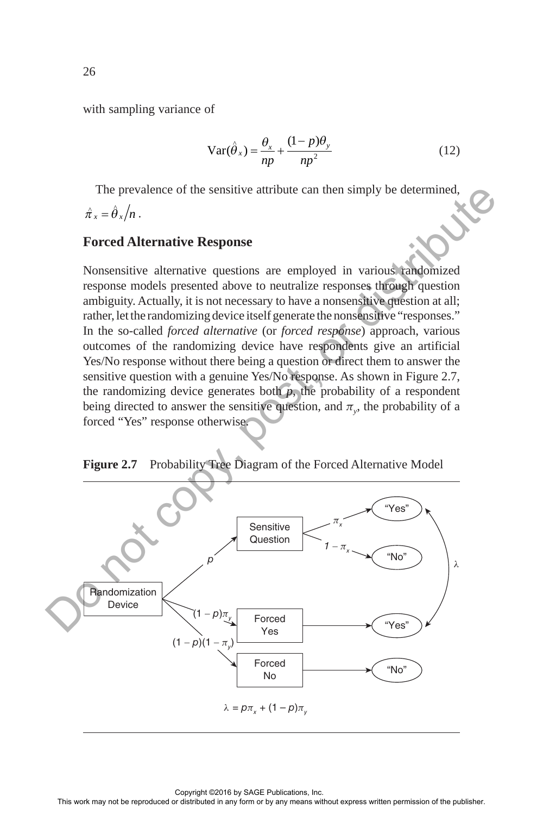with sampling variance of

$$
Var(\hat{\theta}_x) = \frac{\theta_x}{np} + \frac{(1-p)\theta_y}{np^2}
$$
 (12)

The prevalence of the sensitive attribute can then simply be determined,  $\hat{\pi}_x = \hat{\theta}_x / n$ .

### **Forced Alternative Response**

Nonsensitive alternative questions are employed in various randomized response models presented above to neutralize responses through question ambiguity. Actually, it is not necessary to have a nonsensitive question at all; rather, let the randomizing device itself generate the nonsensitive "responses." In the so-called *forced alternative* (or *forced response*) approach, various outcomes of the randomizing device have respondents give an artificial Yes/No response without there being a question or direct them to answer the sensitive question with a genuine Yes/No response. As shown in Figure 2.7, the randomizing device generates both  $p$ , the probability of a respondent being directed to answer the sensitive question, and  $\pi$ <sub>*y*</sub>, the probability of a forced "Yes" response otherwise.

**Figure 2.7** Probability Tree Diagram of the Forced Alternative Model

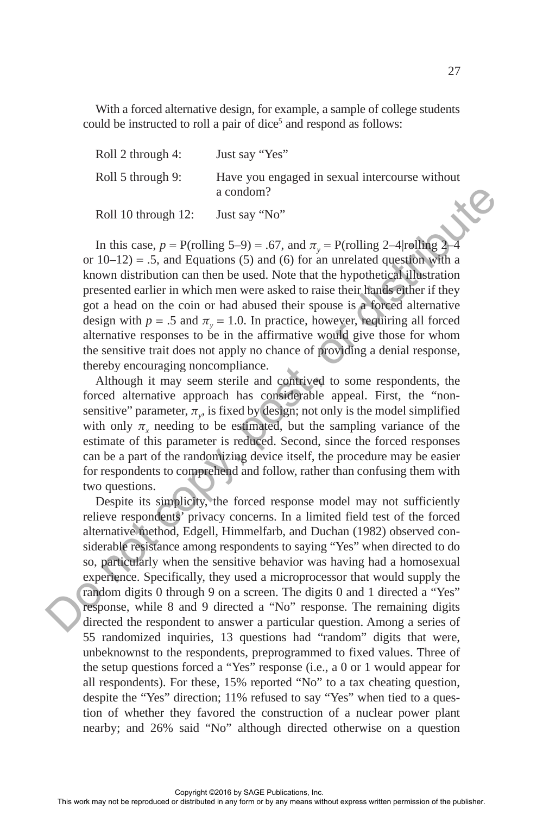With a forced alternative design, for example, a sample of college students could be instructed to roll a pair of dice<sup>5</sup> and respond as follows:

| Roll 2 through 4:   | Just say "Yes"                                              |
|---------------------|-------------------------------------------------------------|
| Roll 5 through 9:   | Have you engaged in sexual intercourse without<br>a condom? |
| Roll 10 through 12: | X<br>Just say "No"                                          |

In this case,  $p = P$ (rolling 5–9) = .67, and  $\pi$ <sub>v</sub> = P(rolling 2–4|rolling 2–4 or  $10-12$ ) = .5, and Equations (5) and (6) for an unrelated question with a known distribution can then be used. Note that the hypothetical illustration presented earlier in which men were asked to raise their hands either if they got a head on the coin or had abused their spouse is a forced alternative design with  $p = .5$  and  $\pi$ <sub>*y*</sub> = 1.0. In practice, however, requiring all forced alternative responses to be in the affirmative would give those for whom the sensitive trait does not apply no chance of providing a denial response, thereby encouraging noncompliance.

Although it may seem sterile and contrived to some respondents, the forced alternative approach has considerable appeal. First, the "nonsensitive" parameter,  $\pi_{y}$ , is fixed by design; not only is the model simplified with only  $\pi$ <sub>x</sub> needing to be estimated, but the sampling variance of the estimate of this parameter is reduced. Second, since the forced responses can be a part of the randomizing device itself, the procedure may be easier for respondents to comprehend and follow, rather than confusing them with two questions.

Despite its simplicity, the forced response model may not sufficiently relieve respondents' privacy concerns. In a limited field test of the forced alternative method, Edgell, Himmelfarb, and Duchan (1982) observed considerable resistance among respondents to saying "Yes" when directed to do so, particularly when the sensitive behavior was having had a homosexual experience. Specifically, they used a microprocessor that would supply the random digits 0 through 9 on a screen. The digits 0 and 1 directed a "Yes" response, while 8 and 9 directed a "No" response. The remaining digits directed the respondent to answer a particular question. Among a series of 55 randomized inquiries, 13 questions had "random" digits that were, unbeknownst to the respondents, preprogrammed to fixed values. Three of the setup questions forced a "Yes" response (i.e., a 0 or 1 would appear for all respondents). For these, 15% reported "No" to a tax cheating question, despite the "Yes" direction; 11% refused to say "Yes" when tied to a question of whether they favored the construction of a nuclear power plant nearby; and 26% said "No" although directed otherwise on a question Roll 10 through 12. a total or  $N_0$ "<br>
In this case,  $p = P(rv \text{lting } 5-9) = .67$ , and  $\pi_2 = P(rv \text{lting } 2-4 \text{ redh} \text{hyp.}$ <br>
or 10-12) = .5, and Equations (3) and (6) for an unrelated questibutive<br>
have the reproduced in the typoth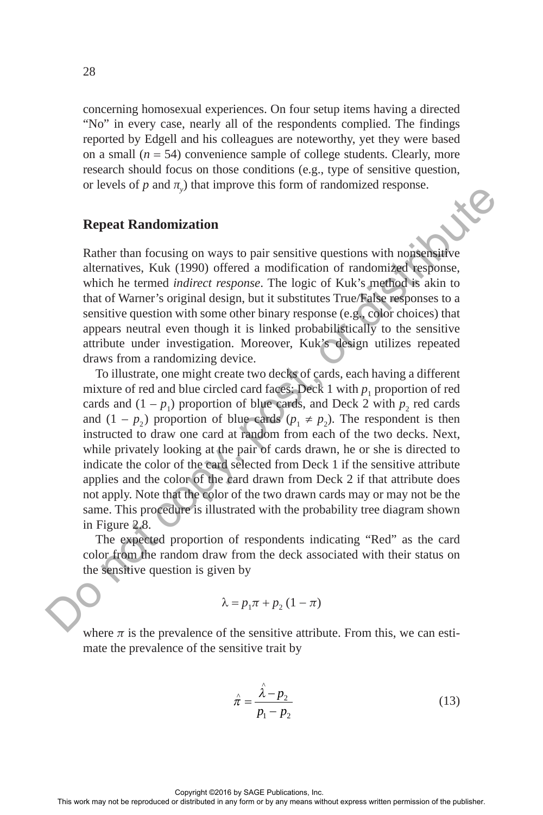concerning homosexual experiences. On four setup items having a directed "No" in every case, nearly all of the respondents complied. The findings reported by Edgell and his colleagues are noteworthy, yet they were based on a small  $(n = 54)$  convenience sample of college students. Clearly, more research should focus on those conditions (e.g., type of sensitive question, or levels of  $p$  and  $y$  that improve this form of randomized response.

### **Repeat Randomization**

Rather than focusing on ways to pair sensitive questions with nonsensitive alternatives, Kuk (1990) offered a modification of randomized response, which he termed *indirect response*. The logic of Kuk's method is akin to that of Warner's original design, but it substitutes True/False responses to a sensitive question with some other binary response (e.g., color choices) that appears neutral even though it is linked probabilistically to the sensitive attribute under investigation. Moreover, Kuk's design utilizes repeated draws from a randomizing device.

To illustrate, one might create two decks of cards, each having a different mixture of red and blue circled card faces: Deck 1 with  $p_1$  proportion of red cards and  $(1 - p_1)$  proportion of blue cards, and Deck 2 with  $p_2$  red cards and  $(1 - p_2)$  proportion of blue cards  $(p_1 \neq p_2)$ . The respondent is then instructed to draw one card at random from each of the two decks. Next, while privately looking at the pair of cards drawn, he or she is directed to indicate the color of the card selected from Deck 1 if the sensitive attribute applies and the color of the card drawn from Deck 2 if that attribute does not apply. Note that the color of the two drawn cards may or may not be the same. This procedure is illustrated with the probability tree diagram shown in Figure 2.8. Go we see the reproduced or distribution or distributed or distributed in any form or by any form or by any form or by any means with an any means with the term of any means of the publisher. This line of the publishers i

The expected proportion of respondents indicating "Red" as the card color from the random draw from the deck associated with their status on the sensitive question is given by

$$
\lambda = p_1 \pi + p_2 (1 - \pi)
$$

where  $\pi$  is the prevalence of the sensitive attribute. From this, we can estimate the prevalence of the sensitive trait by

$$
\hat{\pi} = \frac{\hat{\lambda} - p_2}{p_1 - p_2} \tag{13}
$$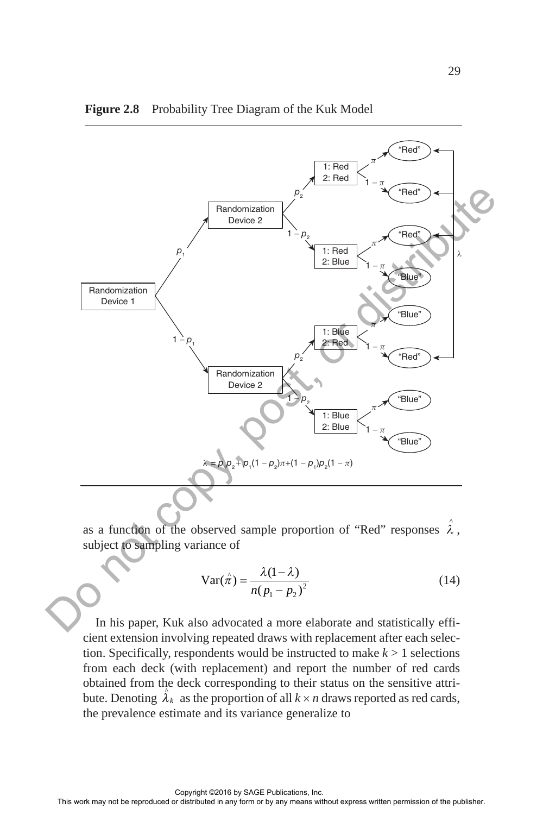

#### **Figure 2.8** Probability Tree Diagram of the Kuk Model

as a function of the observed sample proportion of "Red" responses  $\hat{\lambda}$ , subject to sampling variance of

$$
\operatorname{Var}(\hat{\pi}) = \frac{\lambda(1-\lambda)}{n(p_1 - p_2)^2}
$$
 (14)

In his paper, Kuk also advocated a more elaborate and statistically efficient extension involving repeated draws with replacement after each selection. Specifically, respondents would be instructed to make  $k > 1$  selections from each deck (with replacement) and report the number of red cards obtained from the deck corresponding to their status on the sensitive attribute. Denoting  $\hat{\lambda}_k$  as the proportion of all  $k \times n$  draws reported as red cards, the prevalence estimate and its variance generalize to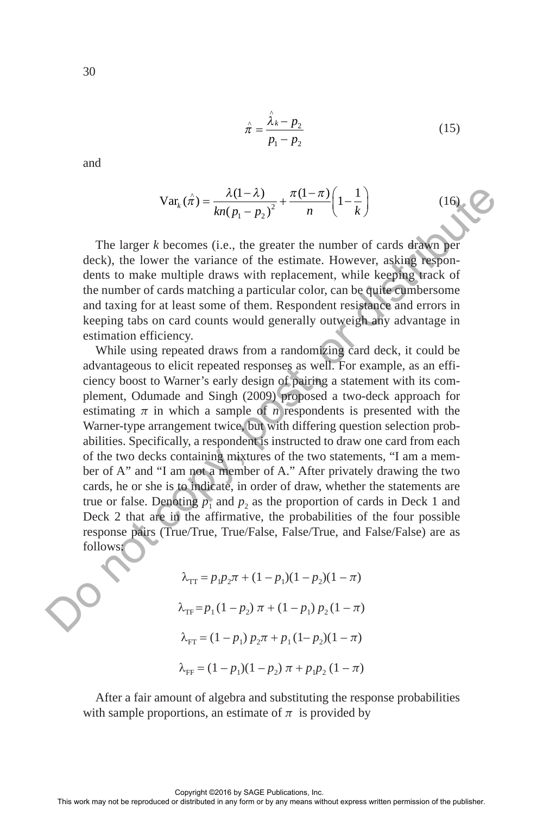$$
\hat{\pi} = \frac{\hat{\lambda}_k - p_2}{p_1 - p_2} \tag{15}
$$

and

$$
\text{Var}_k(\hat{\pi}) = \frac{\lambda(1-\lambda)}{kn(p_1 - p_2)^2} + \frac{\pi(1-\pi)}{n} \left(1 - \frac{1}{k}\right) \tag{16}
$$

The larger *k* becomes (i.e., the greater the number of cards drawn per deck), the lower the variance of the estimate. However, asking respondents to make multiple draws with replacement, while keeping track of the number of cards matching a particular color, can be quite cumbersome and taxing for at least some of them. Respondent resistance and errors in keeping tabs on card counts would generally outweigh any advantage in estimation efficiency.

While using repeated draws from a randomizing card deck, it could be advantageous to elicit repeated responses as well. For example, as an efficiency boost to Warner's early design of pairing a statement with its complement, Odumade and Singh (2009) proposed a two-deck approach for estimating  $\pi$  in which a sample of *n* respondents is presented with the Warner-type arrangement twice, but with differing question selection probabilities. Specifically, a respondent is instructed to draw one card from each of the two decks containing mixtures of the two statements, "I am a member of A" and "I am not a member of A." After privately drawing the two cards, he or she is to indicate, in order of draw, whether the statements are true or false. Denoting  $p_1$  and  $p_2$  as the proportion of cards in Deck 1 and Deck 2 that are in the affirmative, the probabilities of the four possible response pairs (True/True, True/False, False/True, and False/False) are as follows: Var<sub>s</sub> ( $x^2 = \frac{\lambda(1-\lambda)}{m} + \frac{\pi(1-\pi)}{n} \left(1-\frac{1}{k}\right)$  (16)<br>
The larger *k* hecomos (i.e., the greater the mumber of cards driven per<br>deck), the lower the variance of the estimate. However, asking hexpondents to make multi

$$
\lambda_{\text{TT}} = p_1 p_2 \pi + (1 - p_1)(1 - p_2)(1 - \pi)
$$
  

$$
\lambda_{\text{TF}} = p_1 (1 - p_2) \pi + (1 - p_1) p_2 (1 - \pi)
$$
  

$$
\lambda_{\text{FT}} = (1 - p_1) p_2 \pi + p_1 (1 - p_2)(1 - \pi)
$$
  

$$
\lambda_{\text{FF}} = (1 - p_1)(1 - p_2) \pi + p_1 p_2 (1 - \pi)
$$

After a fair amount of algebra and substituting the response probabilities with sample proportions, an estimate of  $\pi$  is provided by

Copyright ©2016 by SAGE Publications, Inc.<br>This work may not be reproduced or distributed in any form or by any means without express written permission of the publisher.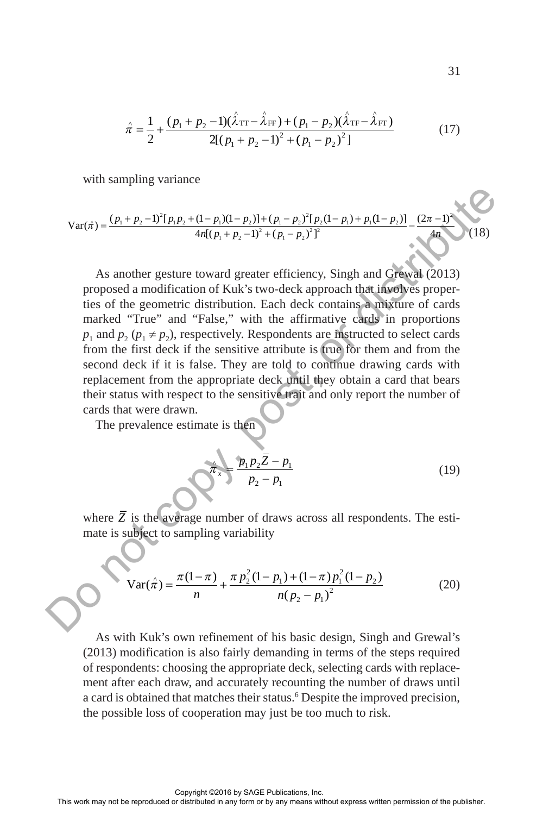$$
\hat{\pi} = \frac{1}{2} + \frac{(p_1 + p_2 - 1)(\hat{\lambda}_{TT} - \hat{\lambda}_{FF}) + (p_1 - p_2)(\hat{\lambda}_{TF} - \hat{\lambda}_{FT})}{2[(p_1 + p_2 - 1)^2 + (p_1 - p_2)^2]}
$$
(17)

with sampling variance

$$
\text{Var}(\hat{\pi}) = \frac{(p_1 + p_2 - 1)^2 [p_1 p_2 + (1 - p_1)(1 - p_2)] + (p_1 - p_2)^2 [p_2(1 - p_1) + p_1(1 - p_2)]}{4n[(p_1 + p_2 - 1)^2 + (p_1 - p_2)^2]^2} - \frac{(2\pi - 1)^2}{4n} \tag{18}
$$

As another gesture toward greater efficiency, Singh and Grewal (2013) proposed a modification of Kuk's two-deck approach that involves properties of the geometric distribution. Each deck contains a mixture of cards marked "True" and "False," with the affirmative cards in proportions *p*<sub>1</sub> and  $p_2$  ( $p_1 \neq p_2$ ), respectively. Respondents are instructed to select cards from the first deck if the sensitive attribute is true for them and from the second deck if it is false. They are told to continue drawing cards with replacement from the appropriate deck until they obtain a card that bears their status with respect to the sensitive trait and only report the number of cards that were drawn. Var( $\hat{\pi}$ ) =  $\frac{(n_1 + p_2 - 1)^2 (p_1 p_1 + (p_1 - p_1)^2 (p_1 - p_2)^2 (p_1 - p_1)^2 (p_1 - p_1)^2}{4d[(p_1 + p_2 - 1)^2 + (p_1 - p_1)^2]^2}$ <br>
As another gesture toward greater efficiency, Singh and Greating and Greating and the reproduced in a stribut

The prevalence estimate is then

$$
\hat{\pi}_x = \frac{p_1 p_2 \bar{Z} - p_1}{p_2 - p_1}
$$
(19)

where  $\overline{Z}$  is the average number of draws across all respondents. The estimate is subject to sampling variability

$$
\operatorname{Var}(\hat{\pi}) = \frac{\pi(1-\pi)}{n} + \frac{\pi p_2^2 (1-p_1) + (1-\pi) p_1^2 (1-p_2)}{n (p_2 - p_1)^2}
$$
(20)

As with Kuk's own refinement of his basic design, Singh and Grewal's (2013) modification is also fairly demanding in terms of the steps required of respondents: choosing the appropriate deck, selecting cards with replacement after each draw, and accurately recounting the number of draws until a card is obtained that matches their status.<sup>6</sup> Despite the improved precision, the possible loss of cooperation may just be too much to risk.